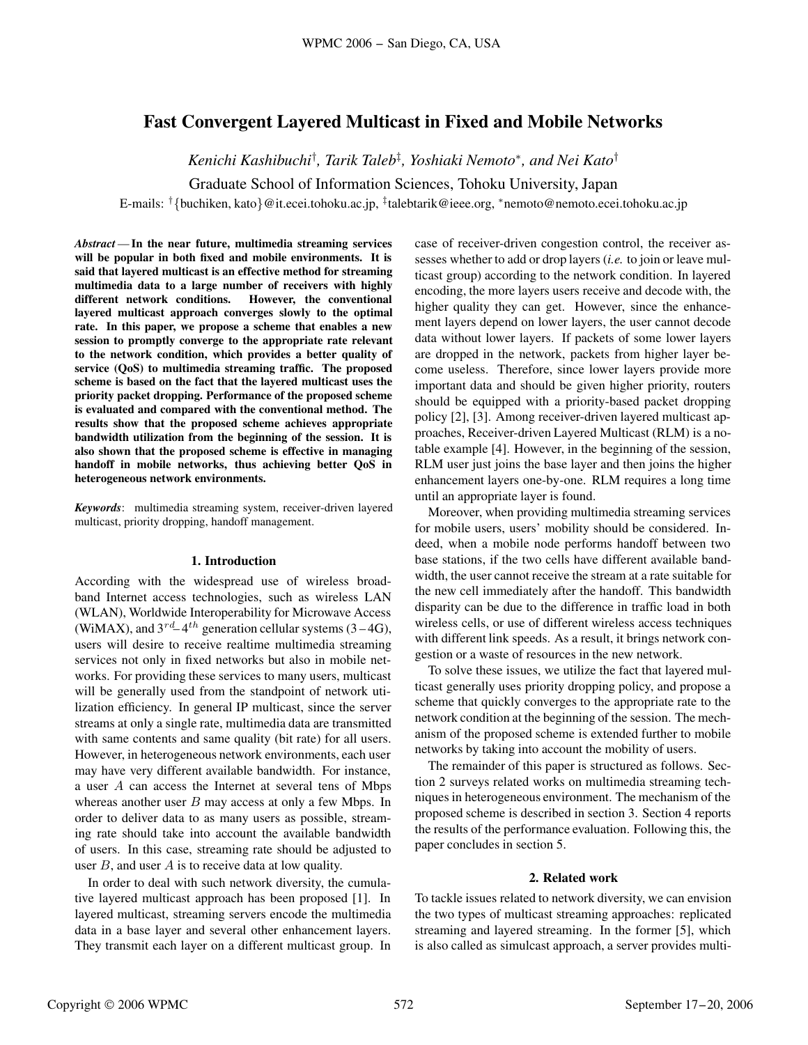# **Fast Convergent Layered Multicast in Fixed and Mobile Networks**

*Kenichi Kashibuchi*† *, Tarik Taleb*‡ *, Yoshiaki Nemoto*∗*, and Nei Kato*†

Graduate School of Information Sciences, Tohoku University, Japan

E-mails: †{buchiken, kato}@it.ecei.tohoku.ac.jp, ‡talebtarik@ieee.org, <sup>∗</sup>nemoto@nemoto.ecei.tohoku.ac.jp

*Abstract* —**In the near future, multimedia streaming services will be popular in both fixed and mobile environments. It is said that layered multicast is an effective method for streaming multimedia data to a large number of receivers with highly different network conditions. However, the conventional layered multicast approach converges slowly to the optimal rate. In this paper, we propose a scheme that enables a new session to promptly converge to the appropriate rate relevant to the network condition, which provides a better quality of service (QoS) to multimedia streaming traffic. The proposed scheme is based on the fact that the layered multicast uses the priority packet dropping. Performance of the proposed scheme is evaluated and compared with the conventional method. The results show that the proposed scheme achieves appropriate bandwidth utilization from the beginning of the session. It is also shown that the proposed scheme is effective in managing handoff in mobile networks, thus achieving better QoS in heterogeneous network environments.**

*Keywords*: multimedia streaming system, receiver-driven layered multicast, priority dropping, handoff management.

#### **1. Introduction**

According with the widespread use of wireless broadband Internet access technologies, such as wireless LAN (WLAN), Worldwide Interoperability for Microwave Access (WiMAX), and  $3^{rd} - 4^{th}$  generation cellular systems (3 – 4G), users will desire to receive realtime multimedia streaming services not only in fixed networks but also in mobile networks. For providing these services to many users, multicast will be generally used from the standpoint of network utilization efficiency. In general IP multicast, since the server streams at only a single rate, multimedia data are transmitted with same contents and same quality (bit rate) for all users. However, in heterogeneous network environments, each user may have very different available bandwidth. For instance, a user A can access the Internet at several tens of Mbps whereas another user  $B$  may access at only a few Mbps. In order to deliver data to as many users as possible, streaming rate should take into account the available bandwidth of users. In this case, streaming rate should be adjusted to user  $B$ , and user  $A$  is to receive data at low quality. WEST 2006 - San Diego, CA, USA<br>
Fast Convergent Layered Multicats in Fixed and Mobile Networks<br>
Econolis Constantine Constant 2006 WPMC 2006 WPMC 2006 WPMC 2006 WPMC 2006 WPMC 2006 WPMC 2006 WPMC 2006 WPMC 2006 WPMC 2006

In order to deal with such network diversity, the cumulative layered multicast approach has been proposed [1]. In layered multicast, streaming servers encode the multimedia data in a base layer and several other enhancement layers. They transmit each layer on a different multicast group. In case of receiver-driven congestion control, the receiver assesses whether to add or drop layers (*i.e.* to join or leave multicast group) according to the network condition. In layered encoding, the more layers users receive and decode with, the higher quality they can get. However, since the enhancement layers depend on lower layers, the user cannot decode data without lower layers. If packets of some lower layers are dropped in the network, packets from higher layer become useless. Therefore, since lower layers provide more important data and should be given higher priority, routers should be equipped with a priority-based packet dropping policy [2], [3]. Among receiver-driven layered multicast approaches, Receiver-driven Layered Multicast (RLM) is a notable example [4]. However, in the beginning of the session, RLM user just joins the base layer and then joins the higher enhancement layers one-by-one. RLM requires a long time until an appropriate layer is found.

Moreover, when providing multimedia streaming services for mobile users, users' mobility should be considered. Indeed, when a mobile node performs handoff between two base stations, if the two cells have different available bandwidth, the user cannot receive the stream at a rate suitable for the new cell immediately after the handoff. This bandwidth disparity can be due to the difference in traffic load in both wireless cells, or use of different wireless access techniques with different link speeds. As a result, it brings network congestion or a waste of resources in the new network.

To solve these issues, we utilize the fact that layered multicast generally uses priority dropping policy, and propose a scheme that quickly converges to the appropriate rate to the network condition at the beginning of the session. The mechanism of the proposed scheme is extended further to mobile networks by taking into account the mobility of users.

The remainder of this paper is structured as follows. Section 2 surveys related works on multimedia streaming techniques in heterogeneous environment. The mechanism of the proposed scheme is described in section 3. Section 4 reports the results of the performance evaluation. Following this, the paper concludes in section 5.

# **2. Related work**

To tackle issues related to network diversity, we can envision the two types of multicast streaming approaches: replicated streaming and layered streaming. In the former [5], which is also called as simulcast approach, a server provides multi-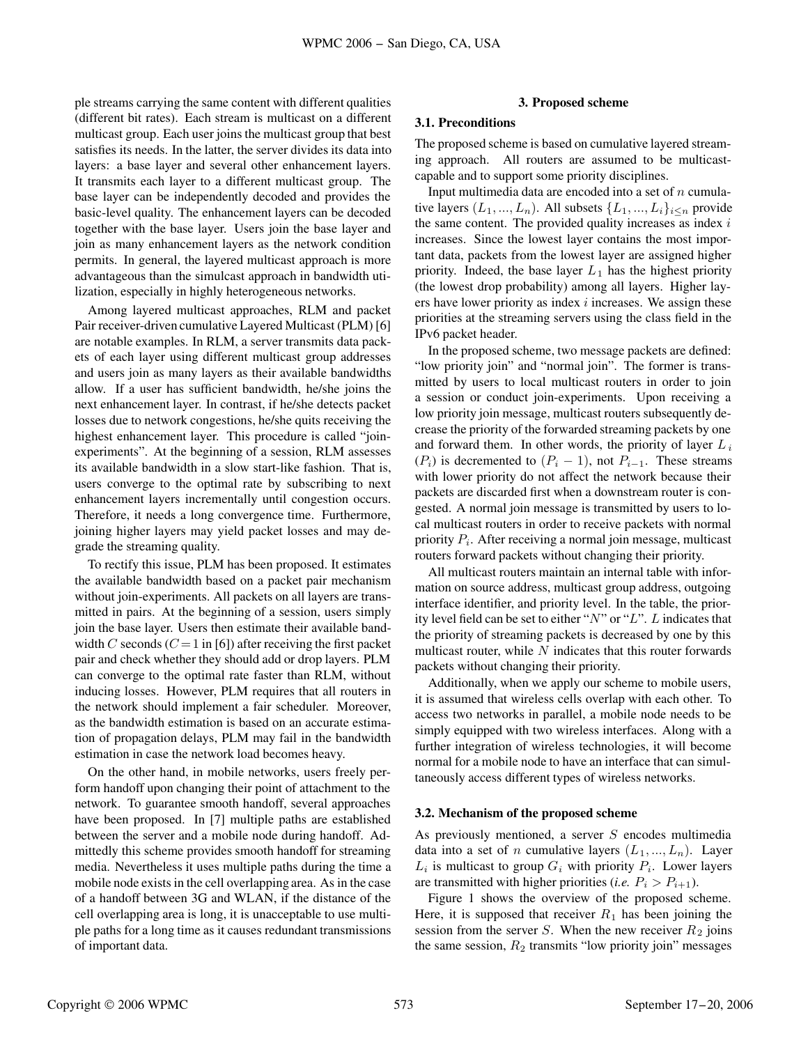ple streams carrying the same content with different qualities (different bit rates). Each stream is multicast on a different multicast group. Each user joins the multicast group that best satisfies its needs. In the latter, the server divides its data into layers: a base layer and several other enhancement layers. It transmits each layer to a different multicast group. The base layer can be independently decoded and provides the basic-level quality. The enhancement layers can be decoded together with the base layer. Users join the base layer and join as many enhancement layers as the network condition permits. In general, the layered multicast approach is more advantageous than the simulcast approach in bandwidth utilization, especially in highly heterogeneous networks.

Among layered multicast approaches, RLM and packet Pair receiver-driven cumulative Layered Multicast (PLM) [6] are notable examples. In RLM, a server transmits data packets of each layer using different multicast group addresses and users join as many layers as their available bandwidths allow. If a user has sufficient bandwidth, he/she joins the next enhancement layer. In contrast, if he/she detects packet losses due to network congestions, he/she quits receiving the highest enhancement layer. This procedure is called "joinexperiments". At the beginning of a session, RLM assesses its available bandwidth in a slow start-like fashion. That is, users converge to the optimal rate by subscribing to next enhancement layers incrementally until congestion occurs. Therefore, it needs a long convergence time. Furthermore, joining higher layers may yield packet losses and may degrade the streaming quality. September 17-20, 2006 - San Diego, CA, USA Diegond scheme and the synonic state of the synonic state of the synonic state of the synonic state of the synonic state of the synonic state of the synonic state of the synonic

To rectify this issue, PLM has been proposed. It estimates the available bandwidth based on a packet pair mechanism without join-experiments. All packets on all layers are transmitted in pairs. At the beginning of a session, users simply join the base layer. Users then estimate their available bandwidth C seconds  $(C = 1$  in [6]) after receiving the first packet pair and check whether they should add or drop layers. PLM can converge to the optimal rate faster than RLM, without inducing losses. However, PLM requires that all routers in the network should implement a fair scheduler. Moreover, as the bandwidth estimation is based on an accurate estimation of propagation delays, PLM may fail in the bandwidth estimation in case the network load becomes heavy.

On the other hand, in mobile networks, users freely perform handoff upon changing their point of attachment to the network. To guarantee smooth handoff, several approaches have been proposed. In [7] multiple paths are established between the server and a mobile node during handoff. Admittedly this scheme provides smooth handoff for streaming media. Nevertheless it uses multiple paths during the time a mobile node exists in the cell overlapping area. As in the case of a handoff between 3G and WLAN, if the distance of the cell overlapping area is long, it is unacceptable to use multiple paths for a long time as it causes redundant transmissions of important data.

### **3. Proposed scheme**

#### **3.1. Preconditions**

The proposed scheme is based on cumulative layered streaming approach. All routers are assumed to be multicastcapable and to support some priority disciplines.

Input multimedia data are encoded into a set of  $n$  cumulative layers  $(L_1, ..., L_n)$ . All subsets  $\{L_1, ..., L_i\}_{i \leq n}$  provide the same content. The provided quality increases as index  $i$ increases. Since the lowest layer contains the most important data, packets from the lowest layer are assigned higher priority. Indeed, the base layer  $L_1$  has the highest priority (the lowest drop probability) among all layers. Higher layers have lower priority as index  $i$  increases. We assign these priorities at the streaming servers using the class field in the IPv6 packet header.

In the proposed scheme, two message packets are defined: "low priority join" and "normal join". The former is transmitted by users to local multicast routers in order to join a session or conduct join-experiments. Upon receiving a low priority join message, multicast routers subsequently decrease the priority of the forwarded streaming packets by one and forward them. In other words, the priority of layer  $L_i$  $(P_i)$  is decremented to  $(P_i - 1)$ , not  $P_{i-1}$ . These streams with lower priority do not affect the network because their packets are discarded first when a downstream router is congested. A normal join message is transmitted by users to local multicast routers in order to receive packets with normal priority  $P_i$ . After receiving a normal join message, multicast routers forward packets without changing their priority.

All multicast routers maintain an internal table with information on source address, multicast group address, outgoing interface identifier, and priority level. In the table, the priority level field can be set to either " $N$ " or " $L$ ". L indicates that the priority of streaming packets is decreased by one by this multicast router, while  $N$  indicates that this router forwards packets without changing their priority.

Additionally, when we apply our scheme to mobile users, it is assumed that wireless cells overlap with each other. To access two networks in parallel, a mobile node needs to be simply equipped with two wireless interfaces. Along with a further integration of wireless technologies, it will become normal for a mobile node to have an interface that can simultaneously access different types of wireless networks.

# **3.2. Mechanism of the proposed scheme**

As previously mentioned, a server  $S$  encodes multimedia data into a set of *n* cumulative layers  $(L_1, ..., L_n)$ . Layer  $L_i$  is multicast to group  $G_i$  with priority  $P_i$ . Lower layers are transmitted with higher priorities (*i.e.*  $P_i > P_{i+1}$ ).

Figure 1 shows the overview of the proposed scheme. Here, it is supposed that receiver  $R_1$  has been joining the session from the server S. When the new receiver  $R_2$  joins the same session,  $R_2$  transmits "low priority join" messages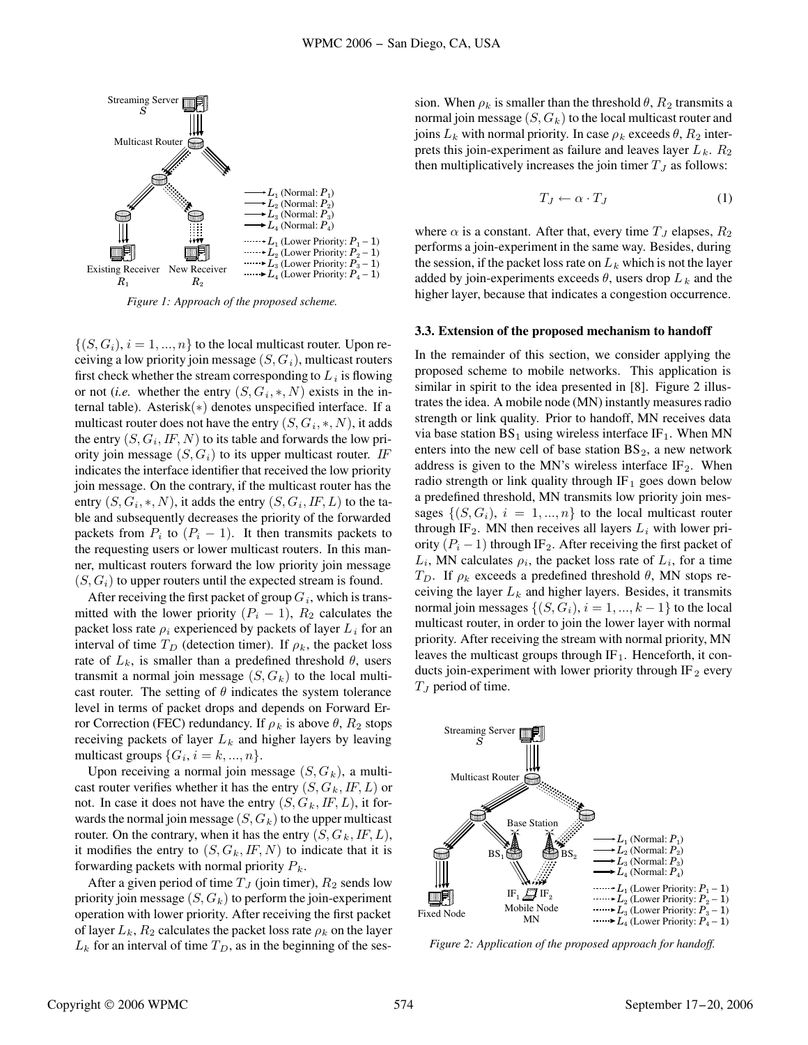

*Figure 1: Approach of the proposed scheme.*

 $\{(S, G_i), i = 1, ..., n\}$  to the local multicast router. Upon receiving a low priority join message  $(S, G_i)$ , multicast routers first check whether the stream corresponding to  $L_i$  is flowing or not (*i.e.* whether the entry  $(S, G_i, *, N)$  exists in the internal table). Asterisk(∗) denotes unspecified interface. If a multicast router does not have the entry  $(S, G_i, *, N)$ , it adds the entry  $(S, G_i, IF, N)$  to its table and forwards the low priority join message  $(S, G_i)$  to its upper multicast router. IF indicates the interface identifier that received the low priority join message. On the contrary, if the multicast router has the entry  $(S, G_i, *, N)$ , it adds the entry  $(S, G_i, I, L)$  to the table and subsequently decreases the priority of the forwarded packets from  $P_i$  to  $(P_i - 1)$ . It then transmits packets to the requesting users or lower multicast routers. In this manner, multicast routers forward the low priority join message  $(S, G_i)$  to upper routers until the expected stream is found.

After receiving the first packet of group  $G_i$ , which is transmitted with the lower priority  $(P_i - 1)$ ,  $R_2$  calculates the packet loss rate  $\rho_i$  experienced by packets of layer  $L_i$  for an interval of time  $T_D$  (detection timer). If  $\rho_k$ , the packet loss rate of  $L_k$ , is smaller than a predefined threshold  $\theta$ , users transmit a normal join message  $(S, G_k)$  to the local multicast router. The setting of  $\theta$  indicates the system tolerance level in terms of packet drops and depends on Forward Error Correction (FEC) redundancy. If  $\rho_k$  is above  $\theta$ ,  $R_2$  stops receiving packets of layer  $L_k$  and higher layers by leaving multicast groups  $\{G_i, i = k, ..., n\}$ .

Upon receiving a normal join message  $(S, G_k)$ , a multicast router verifies whether it has the entry  $(S, G_k, I\!F, L)$  or not. In case it does not have the entry  $(S, G_k, I\!F, L)$ , it forwards the normal join message  $(S, G_k)$  to the upper multicast router. On the contrary, when it has the entry  $(S, G_k, I\!F, L)$ , it modifies the entry to  $(S, G_k, I\!F, N)$  to indicate that it is forwarding packets with normal priority  $P_k$ .

After a given period of time  $T<sub>J</sub>$  (join timer),  $R<sub>2</sub>$  sends low priority join message  $(S, G_k)$  to perform the join-experiment operation with lower priority. After receiving the first packet of layer  $L_k$ ,  $R_2$  calculates the packet loss rate  $\rho_k$  on the layer  $L_k$  for an interval of time  $T_D$ , as in the beginning of the session. When  $\rho_k$  is smaller than the threshold  $\theta$ ,  $R_2$  transmits a normal join message  $(S, G_k)$  to the local multicast router and joins  $L_k$  with normal priority. In case  $\rho_k$  exceeds  $\theta$ ,  $R_2$  interprets this join-experiment as failure and leaves layer  $L_k$ .  $R_2$ then multiplicatively increases the join timer  $T_J$  as follows:

$$
T_J \leftarrow \alpha \cdot T_J \tag{1}
$$

where  $\alpha$  is a constant. After that, every time  $T_J$  elapses,  $R_2$ performs a join-experiment in the same way. Besides, during the session, if the packet loss rate on  $L_k$  which is not the layer added by join-experiments exceeds  $\theta$ , users drop  $L_k$  and the higher layer, because that indicates a congestion occurrence.

#### **3.3. Extension of the proposed mechanism to handoff**

In the remainder of this section, we consider applying the proposed scheme to mobile networks. This application is similar in spirit to the idea presented in [8]. Figure 2 illustrates the idea. A mobile node (MN) instantly measures radio strength or link quality. Prior to handoff, MN receives data via base station  $BS_1$  using wireless interface IF<sub>1</sub>. When MN enters into the new cell of base station  $BS_2$ , a new network address is given to the MN's wireless interface  $IF<sub>2</sub>$ . When radio strength or link quality through  $IF_1$  goes down below a predefined threshold, MN transmits low priority join messages  $\{(S, G_i), i = 1, ..., n\}$  to the local multicast router through IF<sub>2</sub>. MN then receives all layers  $L_i$  with lower priority  $(P_i - 1)$  through IF<sub>2</sub>. After receiving the first packet of  $L_i$ , MN calculates  $\rho_i$ , the packet loss rate of  $L_i$ , for a time  $T_D$ . If  $\rho_k$  exceeds a predefined threshold  $\theta$ , MN stops receiving the layer  $L_k$  and higher layers. Besides, it transmits normal join messages  $\{(S, G_i), i = 1, ..., k-1\}$  to the local multicast router, in order to join the lower layer with normal priority. After receiving the stream with normal priority, MN leaves the multicast groups through  $IF_1$ . Henceforth, it conducts join-experiment with lower priority through IF  $_2$  every  $T_J$  period of time. Security that is a september of the same of the same of the same of the same of the same of the same of the same of the same of the same of the same of the same of the same of the same of the same of the same of the same



*Figure 2: Application of the proposed approach for handoff.*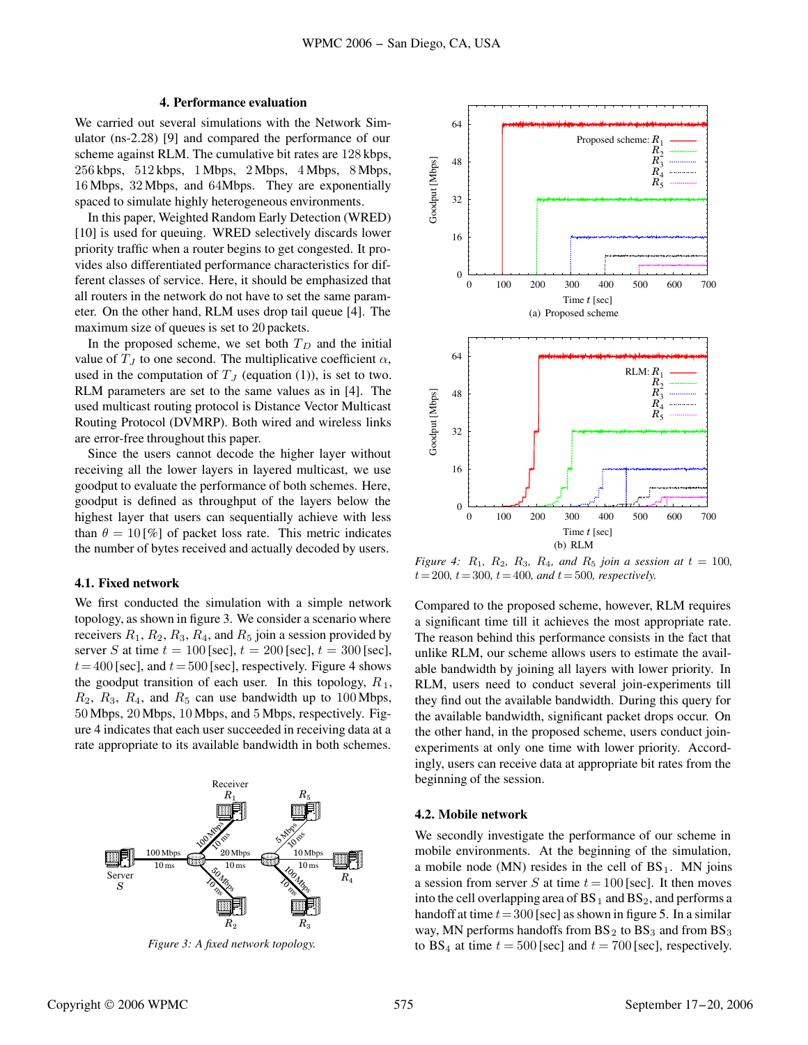# **4. Performance evaluation**

We carried out several simulations with the Network Simulator (ns-2.28) [9] and compared the performance of our scheme against RLM. The cumulative bit rates are 128 kbps, 256 kbps, 512 kbps, 1 Mbps, 2 Mbps, 4 Mbps, 8 Mbps, 16 Mbps, 32 Mbps, and 64Mbps. They are exponentially spaced to simulate highly heterogeneous environments.

In this paper, Weighted Random Early Detection (WRED) [10] is used for queuing. WRED selectively discards lower priority traffic when a router begins to get congested. It provides also differentiated performance characteristics for different classes of service. Here, it should be emphasized that all routers in the network do not have to set the same parameter. On the other hand, RLM uses drop tail queue [4]. The maximum size of queues is set to 20 packets.

In the proposed scheme, we set both  $T_D$  and the initial value of  $T_J$  to one second. The multiplicative coefficient  $\alpha$ , used in the computation of  $T_J$  (equation (1)), is set to two. RLM parameters are set to the same values as in [4]. The used multicast routing protocol is Distance Vector Multicast Routing Protocol (DVMRP). Both wired and wireless links are error-free throughout this paper.

Since the users cannot decode the higher layer without receiving all the lower layers in layered multicast, we use goodput to evaluate the performance of both schemes. Here, goodput is defined as throughput of the layers below the highest layer that users can sequentially achieve with less than  $\theta = 10\frac{\omega}{\omega}$  of packet loss rate. This metric indicates the number of bytes received and actually decoded by users.

# **4.1. Fixed network**

We first conducted the simulation with a simple network topology, as shown in figure 3. We consider a scenario where receivers  $R_1$ ,  $R_2$ ,  $R_3$ ,  $R_4$ , and  $R_5$  join a session provided by server S at time  $t = 100$  [sec],  $t = 200$  [sec],  $t = 300$  [sec],  $t= 400$  [sec], and  $t= 500$  [sec], respectively. Figure 4 shows the goodput transition of each user. In this topology,  $R_1$ ,  $R_2$ ,  $R_3$ ,  $R_4$ , and  $R_5$  can use bandwidth up to 100 Mbps, 50 Mbps, 20 Mbps, 10 Mbps, and 5 Mbps, respectively. Figure 4 indicates that each user succeeded in receiving data at a rate appropriate to its available bandwidth in both schemes.



*Figure 3: A fixed network topology.*



*Figure 4:*  $R_1$ ,  $R_2$ ,  $R_3$ ,  $R_4$ , and  $R_5$  *join a session at*  $t = 100$ ,  $t = 200$ ,  $t = 300$ ,  $t = 400$ , and  $t = 500$ , respectively.

Compared to the proposed scheme, however, RLM requires a significant time till it achieves the most appropriate rate. The reason behind this performance consists in the fact that unlike RLM, our scheme allows users to estimate the available bandwidth by joining all layers with lower priority. In RLM, users need to conduct several join-experiments till they find out the available bandwidth. During this query for the available bandwidth, significant packet drops occur. On the other hand, in the proposed scheme, users conduct joinexperiments at only one time with lower priority. Accordingly, users can receive data at appropriate bit rates from the beginning of the session.

### **4.2. Mobile network**

We secondly investigate the performance of our scheme in mobile environments. At the beginning of the simulation, a mobile node (MN) resides in the cell of  $BS_1$ . MN joins a session from server S at time  $t = 100$  [sec]. It then moves into the cell overlapping area of  $BS_1$  and  $BS_2$ , and performs a handoff at time  $t = 300$  [sec] as shown in figure 5. In a similar way, MN performs handoffs from  $BS_2$  to  $BS_3$  and from  $BS_3$ to BS<sub>4</sub> at time  $t = 500$  [sec] and  $t = 700$  [sec], respectively.